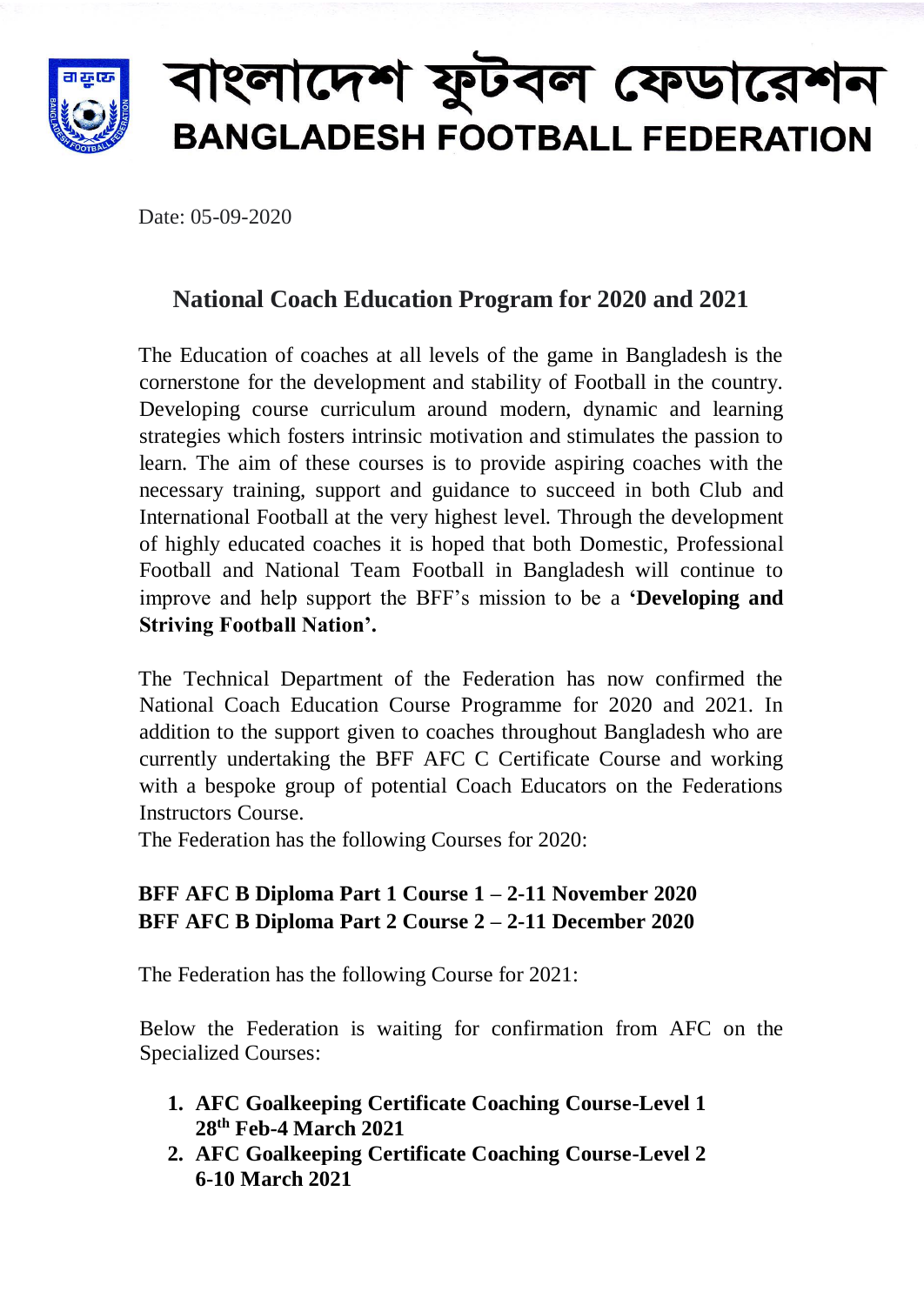

# াংলাদেশ ফুটবল ফেডারেশন **BANGLADESH FOOTBALL FEDERATION**

Date: 05-09-2020

## **National Coach Education Program for 2020 and 2021**

The Education of coaches at all levels of the game in Bangladesh is the cornerstone for the development and stability of Football in the country. Developing course curriculum around modern, dynamic and learning strategies which fosters intrinsic motivation and stimulates the passion to learn. The aim of these courses is to provide aspiring coaches with the necessary training, support and guidance to succeed in both Club and International Football at the very highest level. Through the development of highly educated coaches it is hoped that both Domestic, Professional Football and National Team Football in Bangladesh will continue to improve and help support the BFF's mission to be a **'Developing and Striving Football Nation'.**

The Technical Department of the Federation has now confirmed the National Coach Education Course Programme for 2020 and 2021. In addition to the support given to coaches throughout Bangladesh who are currently undertaking the BFF AFC C Certificate Course and working with a bespoke group of potential Coach Educators on the Federations Instructors Course.

The Federation has the following Courses for 2020:

### **BFF AFC B Diploma Part 1 Course 1 – 2-11 November 2020 BFF AFC B Diploma Part 2 Course 2 – 2-11 December 2020**

The Federation has the following Course for 2021:

Below the Federation is waiting for confirmation from AFC on the Specialized Courses:

- **1. AFC Goalkeeping Certificate Coaching Course-Level 1 28th Feb-4 March 2021**
- **2. AFC Goalkeeping Certificate Coaching Course-Level 2 6-10 March 2021**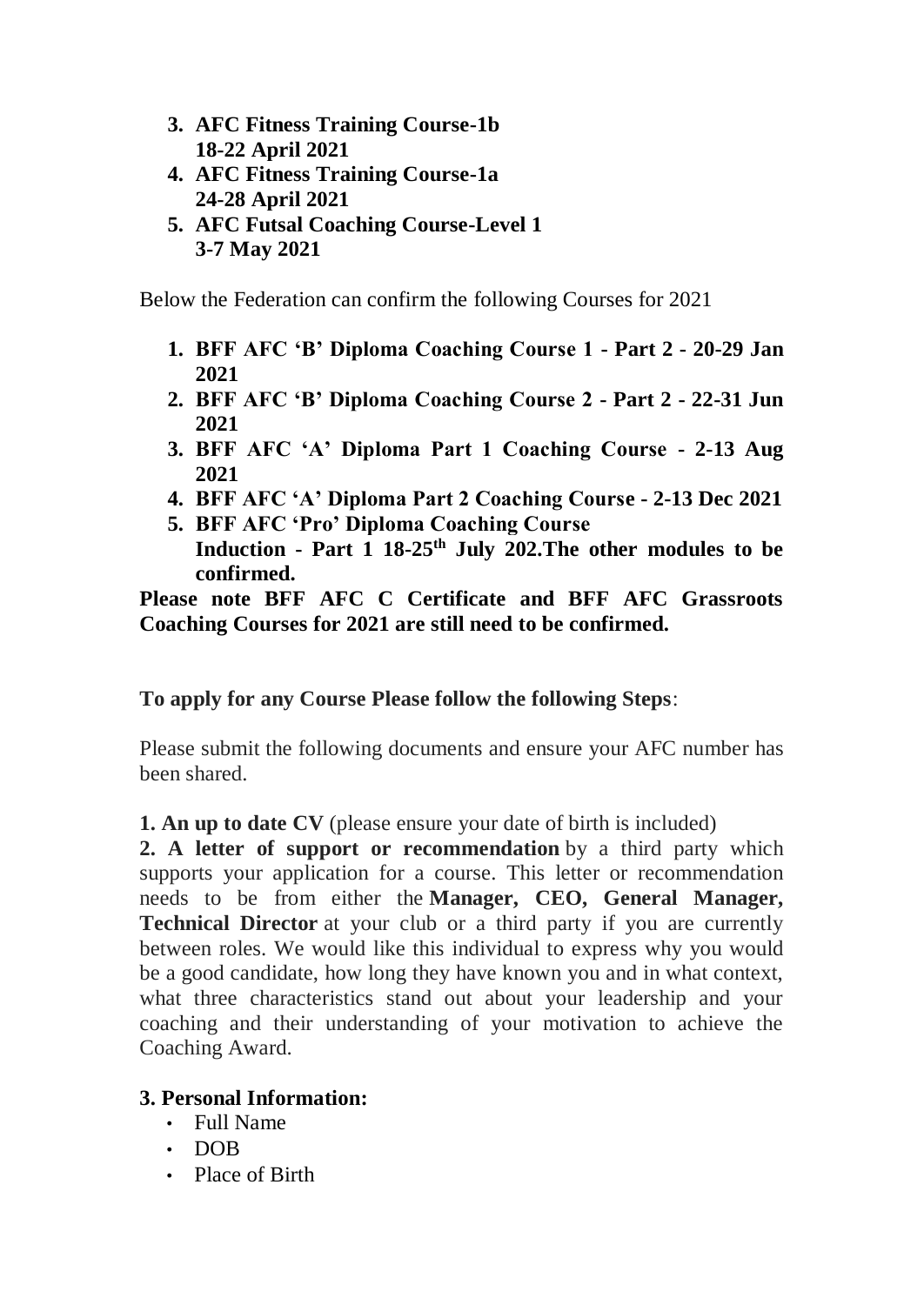- **3. AFC Fitness Training Course-1b 18-22 April 2021**
- **4. AFC Fitness Training Course-1a 24-28 April 2021**
- **5. AFC Futsal Coaching Course-Level 1 3-7 May 2021**

Below the Federation can confirm the following Courses for 2021

- **1. BFF AFC 'B' Diploma Coaching Course 1 - Part 2 - 20-29 Jan 2021**
- **2. BFF AFC 'B' Diploma Coaching Course 2 - Part 2 - 22-31 Jun 2021**
- **3. BFF AFC 'A' Diploma Part 1 Coaching Course - 2-13 Aug 2021**
- **4. BFF AFC 'A' Diploma Part 2 Coaching Course - 2-13 Dec 2021**
- **5. BFF AFC 'Pro' Diploma Coaching Course Induction - Part 1 18-25th July 202.The other modules to be confirmed.**

**Please note BFF AFC C Certificate and BFF AFC Grassroots Coaching Courses for 2021 are still need to be confirmed.**

#### **To apply for any Course Please follow the following Steps**:

Please submit the following documents and ensure your AFC number has been shared.

**1. An up to date CV** (please ensure your date of birth is included)

**2. A letter of support or recommendation** by a third party which supports your application for a course. This letter or recommendation needs to be from either the **Manager, CEO, General Manager, Technical Director** at your club or a third party if you are currently between roles. We would like this individual to express why you would be a good candidate, how long they have known you and in what context, what three characteristics stand out about your leadership and your coaching and their understanding of your motivation to achieve the Coaching Award.

#### **3. Personal Information:**

- Full Name
- DOB
- Place of Birth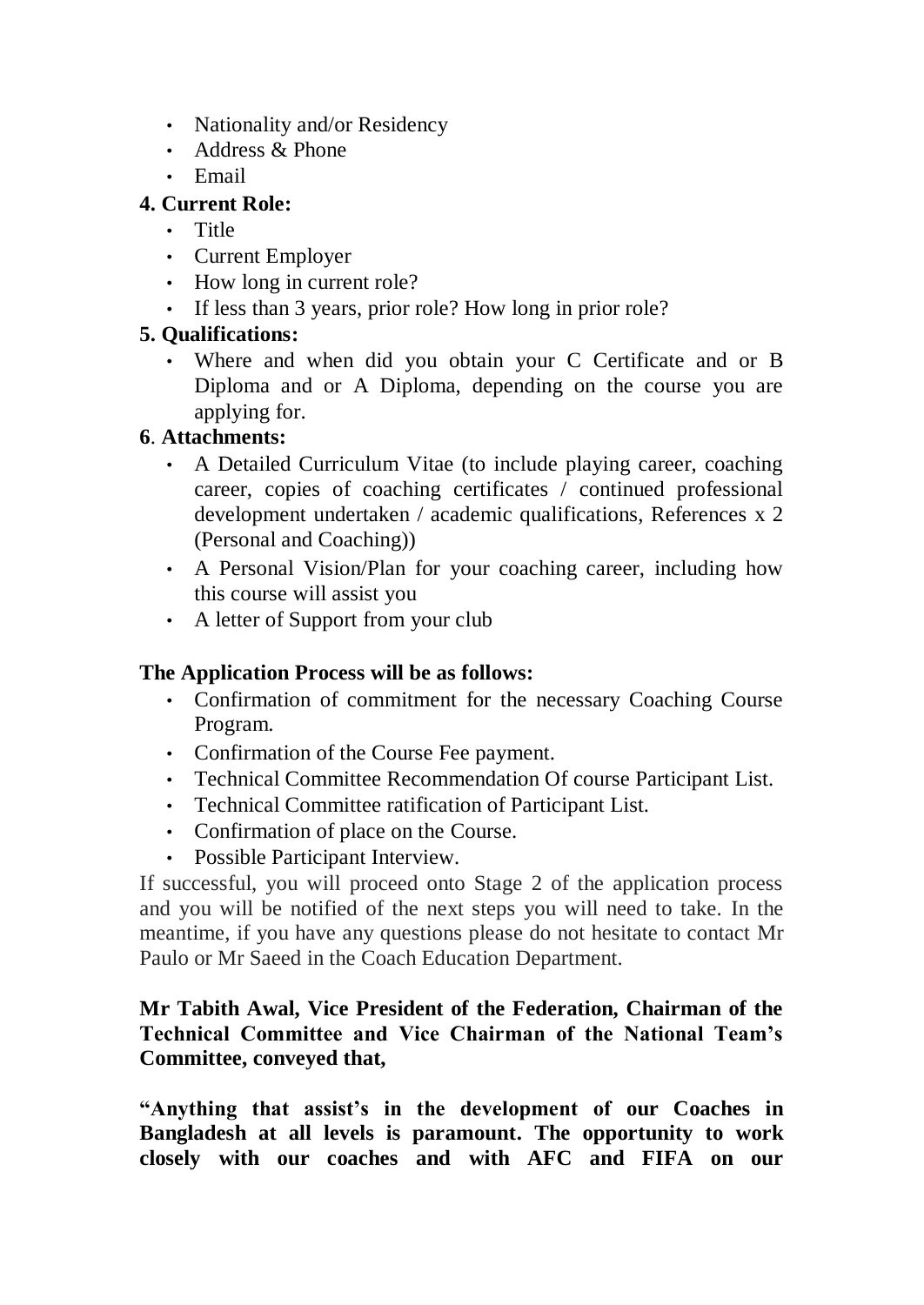- Nationality and/or Residency
- Address & Phone
- Email

#### **4. Current Role:**

- Title
- Current Employer
- How long in current role?
- If less than 3 years, prior role? How long in prior role?

#### **5. Qualifications:**

• Where and when did you obtain your C Certificate and or B Diploma and or A Diploma, depending on the course you are applying for.

#### **6**. **Attachments:**

- A Detailed Curriculum Vitae (to include playing career, coaching career, copies of coaching certificates / continued professional development undertaken / academic qualifications, References x 2 (Personal and Coaching))
- A Personal Vision/Plan for your coaching career, including how this course will assist you
- A letter of Support from your club

#### **The Application Process will be as follows:**

- Confirmation of commitment for the necessary Coaching Course Program.
- Confirmation of the Course Fee payment.
- Technical Committee Recommendation Of course Participant List.
- Technical Committee ratification of Participant List.
- Confirmation of place on the Course.
- Possible Participant Interview.

If successful, you will proceed onto Stage 2 of the application process and you will be notified of the next steps you will need to take. In the meantime, if you have any questions please do not hesitate to contact Mr Paulo or Mr Saeed in the Coach Education Department.

#### **Mr Tabith Awal, Vice President of the Federation, Chairman of the Technical Committee and Vice Chairman of the National Team's Committee, conveyed that,**

**"Anything that assist's in the development of our Coaches in Bangladesh at all levels is paramount. The opportunity to work closely with our coaches and with AFC and FIFA on our**